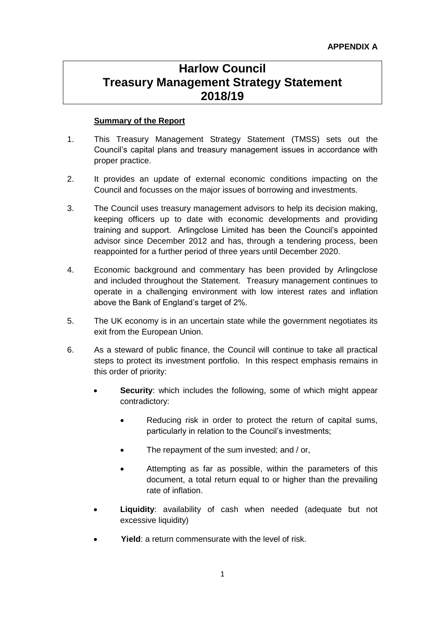# **Harlow Council Treasury Management Strategy Statement 2018/19**

# **Summary of the Report**

- 1. This Treasury Management Strategy Statement (TMSS) sets out the Council's capital plans and treasury management issues in accordance with proper practice.
- 2. It provides an update of external economic conditions impacting on the Council and focusses on the major issues of borrowing and investments.
- 3. The Council uses treasury management advisors to help its decision making, keeping officers up to date with economic developments and providing training and support. Arlingclose Limited has been the Council's appointed advisor since December 2012 and has, through a tendering process, been reappointed for a further period of three years until December 2020.
- 4. Economic background and commentary has been provided by Arlingclose and included throughout the Statement. Treasury management continues to operate in a challenging environment with low interest rates and inflation above the Bank of England's target of 2%.
- 5. The UK economy is in an uncertain state while the government negotiates its exit from the European Union.
- 6. As a steward of public finance, the Council will continue to take all practical steps to protect its investment portfolio. In this respect emphasis remains in this order of priority:
	- **Security:** which includes the following, some of which might appear contradictory:
		- Reducing risk in order to protect the return of capital sums, particularly in relation to the Council's investments;
		- The repayment of the sum invested; and / or,
		- Attempting as far as possible, within the parameters of this document, a total return equal to or higher than the prevailing rate of inflation.
	- **Liquidity**: availability of cash when needed (adequate but not excessive liquidity)
	- **Yield**: a return commensurate with the level of risk.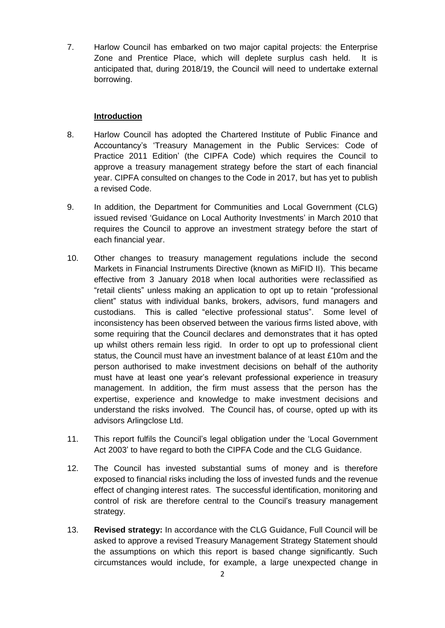7. Harlow Council has embarked on two major capital projects: the Enterprise Zone and Prentice Place, which will deplete surplus cash held. It is anticipated that, during 2018/19, the Council will need to undertake external borrowing.

# **Introduction**

- 8. Harlow Council has adopted the Chartered Institute of Public Finance and Accountancy's 'Treasury Management in the Public Services: Code of Practice 2011 Edition' (the CIPFA Code) which requires the Council to approve a treasury management strategy before the start of each financial year. CIPFA consulted on changes to the Code in 2017, but has yet to publish a revised Code.
- 9. In addition, the Department for Communities and Local Government (CLG) issued revised 'Guidance on Local Authority Investments' in March 2010 that requires the Council to approve an investment strategy before the start of each financial year.
- 10. Other changes to treasury management regulations include the second Markets in Financial Instruments Directive (known as MiFID II). This became effective from 3 January 2018 when local authorities were reclassified as "retail clients" unless making an application to opt up to retain "professional client" status with individual banks, brokers, advisors, fund managers and custodians. This is called "elective professional status". Some level of inconsistency has been observed between the various firms listed above, with some requiring that the Council declares and demonstrates that it has opted up whilst others remain less rigid. In order to opt up to professional client status, the Council must have an investment balance of at least £10m and the person authorised to make investment decisions on behalf of the authority must have at least one year's relevant professional experience in treasury management. In addition, the firm must assess that the person has the expertise, experience and knowledge to make investment decisions and understand the risks involved. The Council has, of course, opted up with its advisors Arlingclose Ltd.
- 11. This report fulfils the Council's legal obligation under the 'Local Government Act 2003' to have regard to both the CIPFA Code and the CLG Guidance.
- 12. The Council has invested substantial sums of money and is therefore exposed to financial risks including the loss of invested funds and the revenue effect of changing interest rates. The successful identification, monitoring and control of risk are therefore central to the Council's treasury management strategy.
- 13. **Revised strategy:** In accordance with the CLG Guidance, Full Council will be asked to approve a revised Treasury Management Strategy Statement should the assumptions on which this report is based change significantly. Such circumstances would include, for example, a large unexpected change in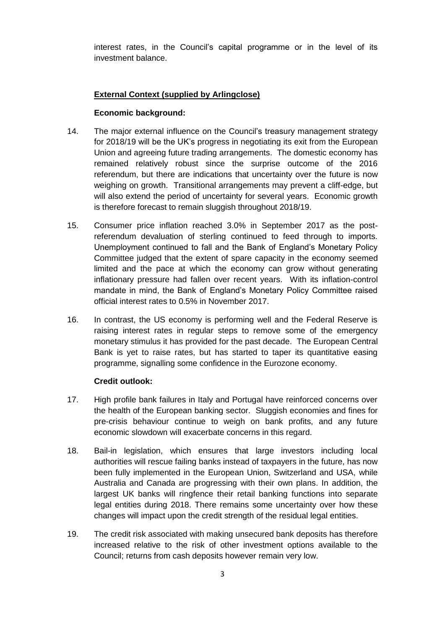interest rates, in the Council's capital programme or in the level of its investment balance.

# **External Context (supplied by Arlingclose)**

# **Economic background:**

- 14. The major external influence on the Council's treasury management strategy for 2018/19 will be the UK's progress in negotiating its exit from the European Union and agreeing future trading arrangements. The domestic economy has remained relatively robust since the surprise outcome of the 2016 referendum, but there are indications that uncertainty over the future is now weighing on growth. Transitional arrangements may prevent a cliff-edge, but will also extend the period of uncertainty for several years. Economic growth is therefore forecast to remain sluggish throughout 2018/19.
- 15. Consumer price inflation reached 3.0% in September 2017 as the postreferendum devaluation of sterling continued to feed through to imports. Unemployment continued to fall and the Bank of England's Monetary Policy Committee judged that the extent of spare capacity in the economy seemed limited and the pace at which the economy can grow without generating inflationary pressure had fallen over recent years. With its inflation-control mandate in mind, the Bank of England's Monetary Policy Committee raised official interest rates to 0.5% in November 2017.
- 16. In contrast, the US economy is performing well and the Federal Reserve is raising interest rates in regular steps to remove some of the emergency monetary stimulus it has provided for the past decade. The European Central Bank is yet to raise rates, but has started to taper its quantitative easing programme, signalling some confidence in the Eurozone economy.

## **Credit outlook:**

- 17. High profile bank failures in Italy and Portugal have reinforced concerns over the health of the European banking sector. Sluggish economies and fines for pre-crisis behaviour continue to weigh on bank profits, and any future economic slowdown will exacerbate concerns in this regard.
- 18. Bail-in legislation, which ensures that large investors including local authorities will rescue failing banks instead of taxpayers in the future, has now been fully implemented in the European Union, Switzerland and USA, while Australia and Canada are progressing with their own plans. In addition, the largest UK banks will ringfence their retail banking functions into separate legal entities during 2018. There remains some uncertainty over how these changes will impact upon the credit strength of the residual legal entities.
- 19. The credit risk associated with making unsecured bank deposits has therefore increased relative to the risk of other investment options available to the Council; returns from cash deposits however remain very low.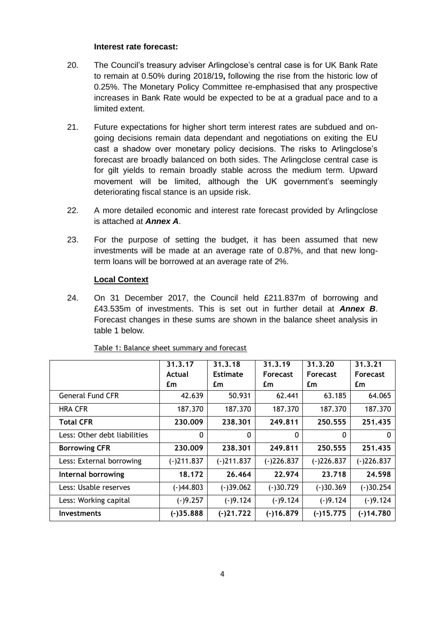## **Interest rate forecast:**

- 20. The Council's treasury adviser Arlingclose's central case is for UK Bank Rate to remain at 0.50% during 2018/19**,** following the rise from the historic low of 0.25%. The Monetary Policy Committee re-emphasised that any prospective increases in Bank Rate would be expected to be at a gradual pace and to a limited extent.
- 21. Future expectations for higher short term interest rates are subdued and ongoing decisions remain data dependant and negotiations on exiting the EU cast a shadow over monetary policy decisions. The risks to Arlingclose's forecast are broadly balanced on both sides. The Arlingclose central case is for gilt yields to remain broadly stable across the medium term. Upward movement will be limited, although the UK government's seemingly deteriorating fiscal stance is an upside risk.
- 22. A more detailed economic and interest rate forecast provided by Arlingclose is attached at *Annex A*.
- 23. For the purpose of setting the budget, it has been assumed that new investments will be made at an average rate of 0.87%, and that new longterm loans will be borrowed at an average rate of 2%.

# **Local Context**

24. On 31 December 2017, the Council held £211.837m of borrowing and £43.535m of investments. This is set out in further detail at *Annex B*. Forecast changes in these sums are shown in the balance sheet analysis in table 1 below.

|                              | 31.3.17      | 31.3.18         | 31.3.19         | 31, 3, 20       | 31.3.21         |
|------------------------------|--------------|-----------------|-----------------|-----------------|-----------------|
|                              | Actual       | <b>Estimate</b> | <b>Forecast</b> | <b>Forecast</b> | <b>Forecast</b> |
|                              | £m           | £m              | £m              | £m              | £m              |
| <b>General Fund CFR</b>      | 42.639       | 50.931          | 62.441          | 63.185          | 64.065          |
| <b>HRA CFR</b>               | 187.370      | 187.370         | 187.370         | 187.370         | 187.370         |
| <b>Total CFR</b>             | 230,009      | 238.301         | 249.811         | 250.555         | 251.435         |
| Less: Other debt liabilities | $\mathbf{0}$ | 0               | $\mathbf{0}$    | $\mathbf{0}$    | 0               |
| <b>Borrowing CFR</b>         | 230,009      | 238.301         | 249.811         | 250.555         | 251.435         |
| Less: External borrowing     | $(-)211.837$ | $(-)211.837$    | $(-)226.837$    | $(-)226.837$    | (-)226.837      |
| Internal borrowing           | 18.172       | 26.464          | 22.974          | 23,718          | 24.598          |
| Less: Usable reserves        | $(-)44.803$  | $(-)39.062$     | $(-)30.729$     | $(-)30.369$     | $(-)30.254$     |
| Less: Working capital        | $(-)9.257$   | $(-)9.124$      | $(-)9.124$      | $(-)9.124$      | $(-)9.124$      |
| <b>Investments</b>           | $(-)35.888$  | $(-)21.722$     | $(-)16.879$     | $(-)15.775$     | $(-)14.780$     |

## Table 1: Balance sheet summary and forecast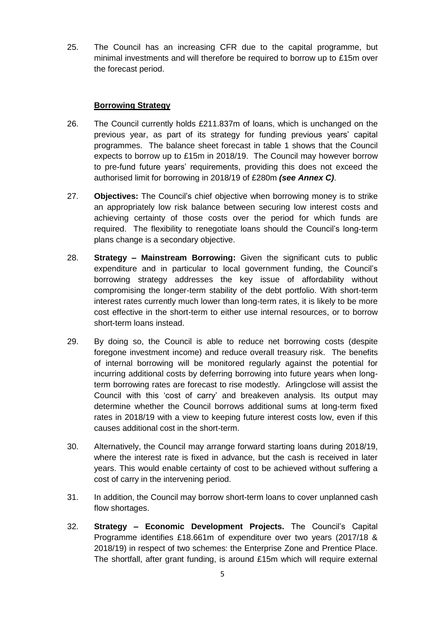25. The Council has an increasing CFR due to the capital programme, but minimal investments and will therefore be required to borrow up to £15m over the forecast period.

# **Borrowing Strategy**

- 26. The Council currently holds £211.837m of loans, which is unchanged on the previous year, as part of its strategy for funding previous years' capital programmes. The balance sheet forecast in table 1 shows that the Council expects to borrow up to £15m in 2018/19. The Council may however borrow to pre-fund future years' requirements, providing this does not exceed the authorised limit for borrowing in 2018/19 of £280m *(see Annex C)*.
- 27. **Objectives:** The Council's chief objective when borrowing money is to strike an appropriately low risk balance between securing low interest costs and achieving certainty of those costs over the period for which funds are required. The flexibility to renegotiate loans should the Council's long-term plans change is a secondary objective.
- 28. **Strategy – Mainstream Borrowing:** Given the significant cuts to public expenditure and in particular to local government funding, the Council's borrowing strategy addresses the key issue of affordability without compromising the longer-term stability of the debt portfolio. With short-term interest rates currently much lower than long-term rates, it is likely to be more cost effective in the short-term to either use internal resources, or to borrow short-term loans instead.
- 29. By doing so, the Council is able to reduce net borrowing costs (despite foregone investment income) and reduce overall treasury risk. The benefits of internal borrowing will be monitored regularly against the potential for incurring additional costs by deferring borrowing into future years when longterm borrowing rates are forecast to rise modestly. Arlingclose will assist the Council with this 'cost of carry' and breakeven analysis. Its output may determine whether the Council borrows additional sums at long-term fixed rates in 2018/19 with a view to keeping future interest costs low, even if this causes additional cost in the short-term.
- 30. Alternatively, the Council may arrange forward starting loans during 2018/19, where the interest rate is fixed in advance, but the cash is received in later years. This would enable certainty of cost to be achieved without suffering a cost of carry in the intervening period.
- 31. In addition, the Council may borrow short-term loans to cover unplanned cash flow shortages.
- 32. **Strategy – Economic Development Projects.** The Council's Capital Programme identifies £18.661m of expenditure over two years (2017/18 & 2018/19) in respect of two schemes: the Enterprise Zone and Prentice Place. The shortfall, after grant funding, is around £15m which will require external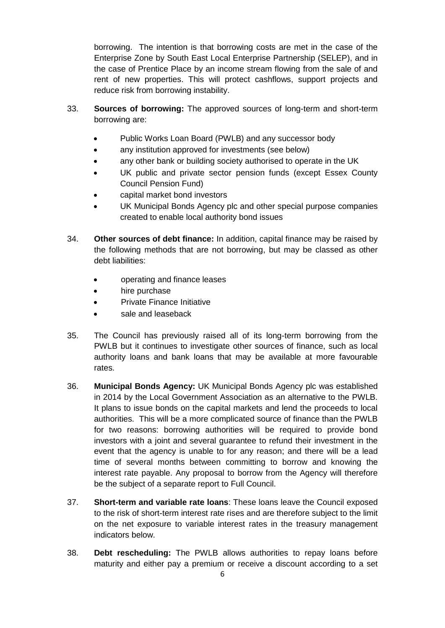borrowing. The intention is that borrowing costs are met in the case of the Enterprise Zone by South East Local Enterprise Partnership (SELEP), and in the case of Prentice Place by an income stream flowing from the sale of and rent of new properties. This will protect cashflows, support projects and reduce risk from borrowing instability.

- 33. **Sources of borrowing:** The approved sources of long-term and short-term borrowing are:
	- Public Works Loan Board (PWLB) and any successor body
	- any institution approved for investments (see below)
	- any other bank or building society authorised to operate in the UK
	- UK public and private sector pension funds (except Essex County Council Pension Fund)
	- capital market bond investors
	- UK Municipal Bonds Agency plc and other special purpose companies created to enable local authority bond issues
- 34. **Other sources of debt finance:** In addition, capital finance may be raised by the following methods that are not borrowing, but may be classed as other debt liabilities:
	- operating and finance leases
	- hire purchase
	- Private Finance Initiative
	- sale and leaseback
- 35. The Council has previously raised all of its long-term borrowing from the PWLB but it continues to investigate other sources of finance, such as local authority loans and bank loans that may be available at more favourable rates.
- 36. **Municipal Bonds Agency:** UK Municipal Bonds Agency plc was established in 2014 by the Local Government Association as an alternative to the PWLB. It plans to issue bonds on the capital markets and lend the proceeds to local authorities. This will be a more complicated source of finance than the PWLB for two reasons: borrowing authorities will be required to provide bond investors with a joint and several guarantee to refund their investment in the event that the agency is unable to for any reason; and there will be a lead time of several months between committing to borrow and knowing the interest rate payable. Any proposal to borrow from the Agency will therefore be the subject of a separate report to Full Council.
- 37. **Short-term and variable rate loans**: These loans leave the Council exposed to the risk of short-term interest rate rises and are therefore subject to the limit on the net exposure to variable interest rates in the treasury management indicators below.
- 38. **Debt rescheduling:** The PWLB allows authorities to repay loans before maturity and either pay a premium or receive a discount according to a set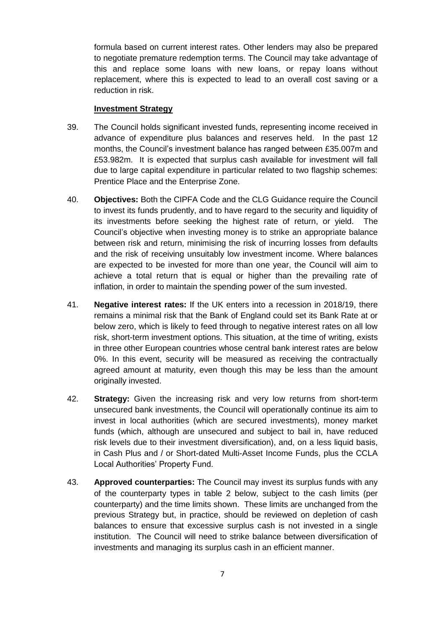formula based on current interest rates. Other lenders may also be prepared to negotiate premature redemption terms. The Council may take advantage of this and replace some loans with new loans, or repay loans without replacement, where this is expected to lead to an overall cost saving or a reduction in risk.

## **Investment Strategy**

- 39. The Council holds significant invested funds, representing income received in advance of expenditure plus balances and reserves held. In the past 12 months, the Council's investment balance has ranged between £35.007m and £53.982m. It is expected that surplus cash available for investment will fall due to large capital expenditure in particular related to two flagship schemes: Prentice Place and the Enterprise Zone.
- 40. **Objectives:** Both the CIPFA Code and the CLG Guidance require the Council to invest its funds prudently, and to have regard to the security and liquidity of its investments before seeking the highest rate of return, or yield. The Council's objective when investing money is to strike an appropriate balance between risk and return, minimising the risk of incurring losses from defaults and the risk of receiving unsuitably low investment income. Where balances are expected to be invested for more than one year, the Council will aim to achieve a total return that is equal or higher than the prevailing rate of inflation, in order to maintain the spending power of the sum invested.
- 41. **Negative interest rates:** If the UK enters into a recession in 2018/19, there remains a minimal risk that the Bank of England could set its Bank Rate at or below zero, which is likely to feed through to negative interest rates on all low risk, short-term investment options. This situation, at the time of writing, exists in three other European countries whose central bank interest rates are below 0%. In this event, security will be measured as receiving the contractually agreed amount at maturity, even though this may be less than the amount originally invested.
- 42. **Strategy:** Given the increasing risk and very low returns from short-term unsecured bank investments, the Council will operationally continue its aim to invest in local authorities (which are secured investments), money market funds (which, although are unsecured and subject to bail in, have reduced risk levels due to their investment diversification), and, on a less liquid basis, in Cash Plus and / or Short-dated Multi-Asset Income Funds, plus the CCLA Local Authorities' Property Fund.
- 43. **Approved counterparties:** The Council may invest its surplus funds with any of the counterparty types in table 2 below, subject to the cash limits (per counterparty) and the time limits shown. These limits are unchanged from the previous Strategy but, in practice, should be reviewed on depletion of cash balances to ensure that excessive surplus cash is not invested in a single institution. The Council will need to strike balance between diversification of investments and managing its surplus cash in an efficient manner.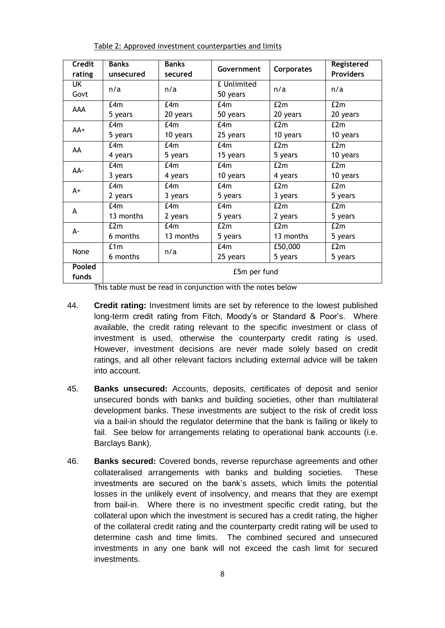| <b>Credit</b> | <b>Banks</b> | <b>Banks</b> | Government  | Corporates | Registered       |  |  |
|---------------|--------------|--------------|-------------|------------|------------------|--|--|
| rating        | unsecured    | secured      |             |            | <b>Providers</b> |  |  |
| UK            | n/a          | n/a          | £ Unlimited | n/a        | n/a              |  |  |
| Govt          |              |              | 50 years    |            |                  |  |  |
| AAA           | E4m          | E4m          | f4m         | E2m        | E2m              |  |  |
|               | 5 years      | 20 years     | 50 years    | 20 years   | 20 years         |  |  |
| AA+           | f4m          | f4m          | f4m         | E2m        | E2m              |  |  |
|               | 5 years      | 10 years     | 25 years    | 10 years   | 10 years         |  |  |
| AA            | E4m          | f4m          | f4m         | E2m        | E2m              |  |  |
|               | 4 years      | 5 years      | 15 years    | 5 years    | 10 years         |  |  |
| AA-           | E4m          | E4m          | f4m         | E2m        | E2m              |  |  |
|               | 3 years      | 4 years      | 10 years    | 4 years    | 10 years         |  |  |
| $A+$          | E4m          | E4m          | E4m         | E2m        | E2m              |  |  |
|               | 2 years      | 3 years      | 5 years     | 3 years    | 5 years          |  |  |
| A             | E4m          | f4m          | f4m         | E2m        | E2m              |  |  |
|               | 13 months    | 2 years      | 5 years     | 2 years    | 5 years          |  |  |
| А-            | E2m          | f.4m         | E2m         | E2m        | E2m              |  |  |
|               | 6 months     | 13 months    | 5 years     | 13 months  | 5 years          |  |  |
| None          | £1m          | n/a          | E4m         | £50,000    | E2m              |  |  |
|               | 6 months     |              | 25 years    | 5 years    | 5 years          |  |  |
| Pooled        | £5m per fund |              |             |            |                  |  |  |
| funds         |              |              |             |            |                  |  |  |

Table 2: Approved investment counterparties and limits

This table must be read in conjunction with the notes below

- 44. **Credit rating:** Investment limits are set by reference to the lowest published long-term credit rating from Fitch, Moody's or Standard & Poor's. Where available, the credit rating relevant to the specific investment or class of investment is used, otherwise the counterparty credit rating is used. However, investment decisions are never made solely based on credit ratings, and all other relevant factors including external advice will be taken into account.
- 45. **Banks unsecured:** Accounts, deposits, certificates of deposit and senior unsecured bonds with banks and building societies, other than multilateral development banks. These investments are subject to the risk of credit loss via a bail-in should the regulator determine that the bank is failing or likely to fail. See below for arrangements relating to operational bank accounts (i.e. Barclays Bank).
- 46. **Banks secured:** Covered bonds, reverse repurchase agreements and other collateralised arrangements with banks and building societies. These investments are secured on the bank's assets, which limits the potential losses in the unlikely event of insolvency, and means that they are exempt from bail-in. Where there is no investment specific credit rating, but the collateral upon which the investment is secured has a credit rating, the higher of the collateral credit rating and the counterparty credit rating will be used to determine cash and time limits. The combined secured and unsecured investments in any one bank will not exceed the cash limit for secured investments.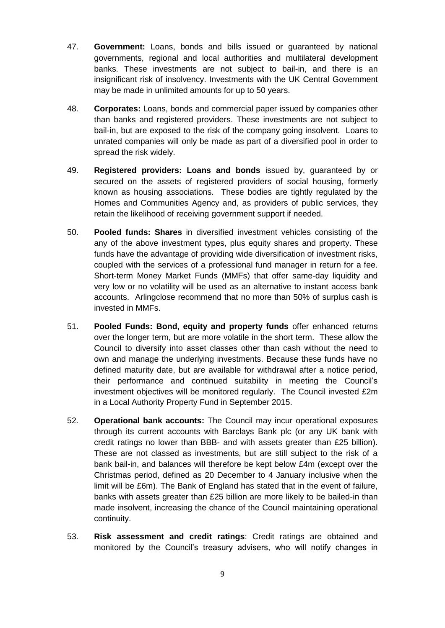- 47. **Government:** Loans, bonds and bills issued or guaranteed by national governments, regional and local authorities and multilateral development banks. These investments are not subject to bail-in, and there is an insignificant risk of insolvency. Investments with the UK Central Government may be made in unlimited amounts for up to 50 years.
- 48. **Corporates:** Loans, bonds and commercial paper issued by companies other than banks and registered providers. These investments are not subject to bail-in, but are exposed to the risk of the company going insolvent. Loans to unrated companies will only be made as part of a diversified pool in order to spread the risk widely.
- 49. **Registered providers: Loans and bonds** issued by, guaranteed by or secured on the assets of registered providers of social housing, formerly known as housing associations. These bodies are tightly regulated by the Homes and Communities Agency and, as providers of public services, they retain the likelihood of receiving government support if needed.
- 50. **Pooled funds: Shares** in diversified investment vehicles consisting of the any of the above investment types, plus equity shares and property. These funds have the advantage of providing wide diversification of investment risks, coupled with the services of a professional fund manager in return for a fee. Short-term Money Market Funds (MMFs) that offer same-day liquidity and very low or no volatility will be used as an alternative to instant access bank accounts. Arlingclose recommend that no more than 50% of surplus cash is invested in MMFs.
- 51. **Pooled Funds: Bond, equity and property funds** offer enhanced returns over the longer term, but are more volatile in the short term. These allow the Council to diversify into asset classes other than cash without the need to own and manage the underlying investments. Because these funds have no defined maturity date, but are available for withdrawal after a notice period, their performance and continued suitability in meeting the Council's investment objectives will be monitored regularly. The Council invested £2m in a Local Authority Property Fund in September 2015.
- 52. **Operational bank accounts:** The Council may incur operational exposures through its current accounts with Barclays Bank plc (or any UK bank with credit ratings no lower than BBB- and with assets greater than £25 billion). These are not classed as investments, but are still subject to the risk of a bank bail-in, and balances will therefore be kept below £4m (except over the Christmas period, defined as 20 December to 4 January inclusive when the limit will be £6m). The Bank of England has stated that in the event of failure, banks with assets greater than £25 billion are more likely to be bailed-in than made insolvent, increasing the chance of the Council maintaining operational continuity.
- 53. **Risk assessment and credit ratings**: Credit ratings are obtained and monitored by the Council's treasury advisers, who will notify changes in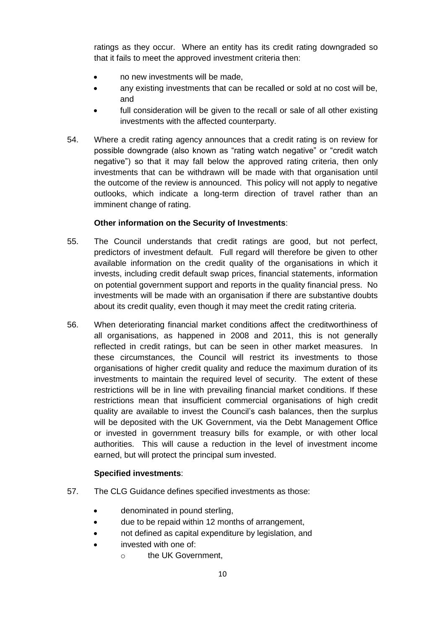ratings as they occur. Where an entity has its credit rating downgraded so that it fails to meet the approved investment criteria then:

- no new investments will be made,
- any existing investments that can be recalled or sold at no cost will be, and
- full consideration will be given to the recall or sale of all other existing investments with the affected counterparty.
- 54. Where a credit rating agency announces that a credit rating is on review for possible downgrade (also known as "rating watch negative" or "credit watch negative") so that it may fall below the approved rating criteria, then only investments that can be withdrawn will be made with that organisation until the outcome of the review is announced. This policy will not apply to negative outlooks, which indicate a long-term direction of travel rather than an imminent change of rating.

# **Other information on the Security of Investments**:

- 55. The Council understands that credit ratings are good, but not perfect, predictors of investment default. Full regard will therefore be given to other available information on the credit quality of the organisations in which it invests, including credit default swap prices, financial statements, information on potential government support and reports in the quality financial press. No investments will be made with an organisation if there are substantive doubts about its credit quality, even though it may meet the credit rating criteria.
- 56. When deteriorating financial market conditions affect the creditworthiness of all organisations, as happened in 2008 and 2011, this is not generally reflected in credit ratings, but can be seen in other market measures. In these circumstances, the Council will restrict its investments to those organisations of higher credit quality and reduce the maximum duration of its investments to maintain the required level of security. The extent of these restrictions will be in line with prevailing financial market conditions. If these restrictions mean that insufficient commercial organisations of high credit quality are available to invest the Council's cash balances, then the surplus will be deposited with the UK Government, via the Debt Management Office or invested in government treasury bills for example, or with other local authorities. This will cause a reduction in the level of investment income earned, but will protect the principal sum invested.

# **Specified investments**:

- 57. The CLG Guidance defines specified investments as those:
	- denominated in pound sterling,
	- due to be repaid within 12 months of arrangement,
	- not defined as capital expenditure by legislation, and
	- invested with one of:
		- o the UK Government,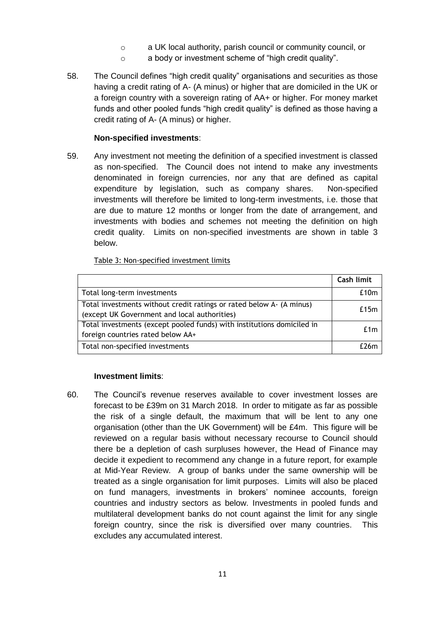- o a UK local authority, parish council or community council, or
- o a body or investment scheme of "high credit quality".
- 58. The Council defines "high credit quality" organisations and securities as those having a credit rating of A- (A minus) or higher that are domiciled in the UK or a foreign country with a sovereign rating of AA+ or higher. For money market funds and other pooled funds "high credit quality" is defined as those having a credit rating of A- (A minus) or higher.

## **Non-specified investments**:

59. Any investment not meeting the definition of a specified investment is classed as non-specified. The Council does not intend to make any investments denominated in foreign currencies, nor any that are defined as capital expenditure by legislation, such as company shares. Non-specified investments will therefore be limited to long-term investments, i.e. those that are due to mature 12 months or longer from the date of arrangement, and investments with bodies and schemes not meeting the definition on high credit quality. Limits on non-specified investments are shown in table 3 below.

Table 3: Non-specified investment limits

|                                                                                                                      | Cash limit |
|----------------------------------------------------------------------------------------------------------------------|------------|
| Total long-term investments                                                                                          | £10m       |
| Total investments without credit ratings or rated below A- (A minus)<br>(except UK Government and local authorities) | £15m       |
| Total investments (except pooled funds) with institutions domiciled in<br>foreign countries rated below AA+          | £1m        |
| Total non-specified investments                                                                                      | $f$ 76m    |

## **Investment limits**:

60. The Council's revenue reserves available to cover investment losses are forecast to be £39m on 31 March 2018. In order to mitigate as far as possible the risk of a single default, the maximum that will be lent to any one organisation (other than the UK Government) will be £4m. This figure will be reviewed on a regular basis without necessary recourse to Council should there be a depletion of cash surpluses however, the Head of Finance may decide it expedient to recommend any change in a future report, for example at Mid-Year Review. A group of banks under the same ownership will be treated as a single organisation for limit purposes. Limits will also be placed on fund managers, investments in brokers' nominee accounts, foreign countries and industry sectors as below. Investments in pooled funds and multilateral development banks do not count against the limit for any single foreign country, since the risk is diversified over many countries. This excludes any accumulated interest.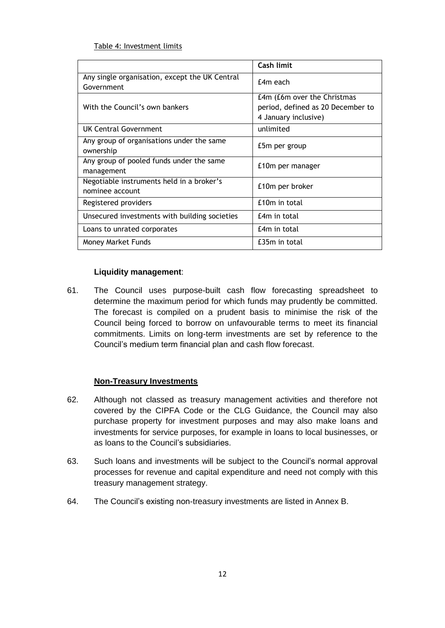## Table 4: Investment limits

|                                                              | Cash limit                                                                               |
|--------------------------------------------------------------|------------------------------------------------------------------------------------------|
| Any single organisation, except the UK Central<br>Government | £4m each                                                                                 |
| With the Council's own bankers                               | £4m (£6m over the Christmas<br>period, defined as 20 December to<br>4 January inclusive) |
| <b>UK Central Government</b>                                 | unlimited                                                                                |
| Any group of organisations under the same<br>ownership       | £5m per group                                                                            |
| Any group of pooled funds under the same<br>management       | £10m per manager                                                                         |
| Negotiable instruments held in a broker's<br>nominee account | £10m per broker                                                                          |
| Registered providers                                         | £10m in total                                                                            |
| Unsecured investments with building societies                | £4m in total                                                                             |
| Loans to unrated corporates                                  | £4m in total                                                                             |
| Money Market Funds                                           | £35m in total                                                                            |

# **Liquidity management**:

61. The Council uses purpose-built cash flow forecasting spreadsheet to determine the maximum period for which funds may prudently be committed. The forecast is compiled on a prudent basis to minimise the risk of the Council being forced to borrow on unfavourable terms to meet its financial commitments. Limits on long-term investments are set by reference to the Council's medium term financial plan and cash flow forecast.

# **Non-Treasury Investments**

- 62. Although not classed as treasury management activities and therefore not covered by the CIPFA Code or the CLG Guidance, the Council may also purchase property for investment purposes and may also make loans and investments for service purposes, for example in loans to local businesses, or as loans to the Council's subsidiaries.
- 63. Such loans and investments will be subject to the Council's normal approval processes for revenue and capital expenditure and need not comply with this treasury management strategy.
- 64. The Council's existing non-treasury investments are listed in Annex B.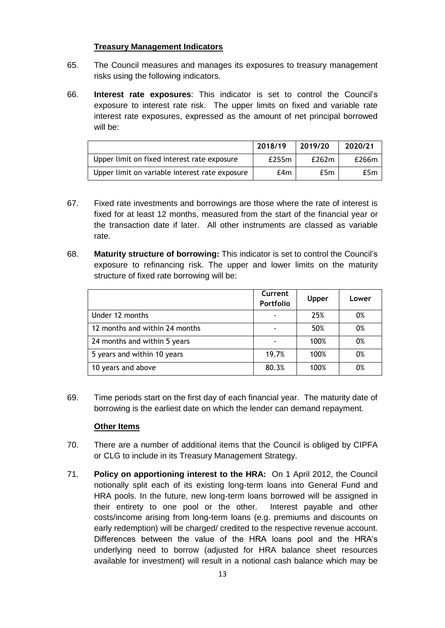# **Treasury Management Indicators**

- 65. The Council measures and manages its exposures to treasury management risks using the following indicators.
- 66. **Interest rate exposures**: This indicator is set to control the Council's exposure to interest rate risk. The upper limits on fixed and variable rate interest rate exposures, expressed as the amount of net principal borrowed will be:

|                                                | 2018/19 | 2019/20 | 2020/21 |
|------------------------------------------------|---------|---------|---------|
| Upper limit on fixed interest rate exposure    | £255m   | £262m   | £266m   |
| Upper limit on variable interest rate exposure | £4m     | £5m     | £5m     |

- 67. Fixed rate investments and borrowings are those where the rate of interest is fixed for at least 12 months, measured from the start of the financial year or the transaction date if later. All other instruments are classed as variable rate.
- 68. **Maturity structure of borrowing:** This indicator is set to control the Council's exposure to refinancing risk. The upper and lower limits on the maturity structure of fixed rate borrowing will be:

|                                | Current<br>Portfolio | <b>Upper</b> | Lower |
|--------------------------------|----------------------|--------------|-------|
| Under 12 months                |                      | 25%          | 0%    |
| 12 months and within 24 months |                      | 50%          | 0%    |
| 24 months and within 5 years   |                      | 100%         | 0%    |
| 5 years and within 10 years    | 19.7%                | 100%         | 0%    |
| 10 years and above             | 80.3%                | 100%         | 0%    |

69. Time periods start on the first day of each financial year. The maturity date of borrowing is the earliest date on which the lender can demand repayment.

# **Other Items**

- 70. There are a number of additional items that the Council is obliged by CIPFA or CLG to include in its Treasury Management Strategy.
- 71. **Policy on apportioning interest to the HRA:** On 1 April 2012, the Council notionally split each of its existing long-term loans into General Fund and HRA pools. In the future, new long-term loans borrowed will be assigned in their entirety to one pool or the other. Interest payable and other costs/income arising from long-term loans (e.g. premiums and discounts on early redemption) will be charged/ credited to the respective revenue account. Differences between the value of the HRA loans pool and the HRA's underlying need to borrow (adjusted for HRA balance sheet resources available for investment) will result in a notional cash balance which may be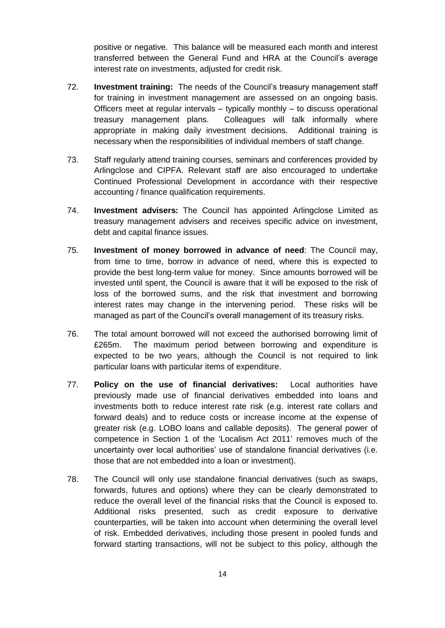positive or negative. This balance will be measured each month and interest transferred between the General Fund and HRA at the Council's average interest rate on investments, adjusted for credit risk.

- 72. **Investment training:** The needs of the Council's treasury management staff for training in investment management are assessed on an ongoing basis. Officers meet at regular intervals  $-$  typically monthly  $-$  to discuss operational treasury management plans. Colleagues will talk informally where appropriate in making daily investment decisions. Additional training is necessary when the responsibilities of individual members of staff change.
- 73. Staff regularly attend training courses, seminars and conferences provided by Arlingclose and CIPFA. Relevant staff are also encouraged to undertake Continued Professional Development in accordance with their respective accounting / finance qualification requirements.
- 74. **Investment advisers:** The Council has appointed Arlingclose Limited as treasury management advisers and receives specific advice on investment, debt and capital finance issues.
- 75. **Investment of money borrowed in advance of need**: The Council may, from time to time, borrow in advance of need, where this is expected to provide the best long-term value for money. Since amounts borrowed will be invested until spent, the Council is aware that it will be exposed to the risk of loss of the borrowed sums, and the risk that investment and borrowing interest rates may change in the intervening period. These risks will be managed as part of the Council's overall management of its treasury risks.
- 76. The total amount borrowed will not exceed the authorised borrowing limit of £265m. The maximum period between borrowing and expenditure is expected to be two years, although the Council is not required to link particular loans with particular items of expenditure.
- 77. **Policy on the use of financial derivatives:** Local authorities have previously made use of financial derivatives embedded into loans and investments both to reduce interest rate risk (e.g. interest rate collars and forward deals) and to reduce costs or increase income at the expense of greater risk (e.g. LOBO loans and callable deposits). The general power of competence in Section 1 of the 'Localism Act 2011' removes much of the uncertainty over local authorities' use of standalone financial derivatives (i.e. those that are not embedded into a loan or investment).
- 78. The Council will only use standalone financial derivatives (such as swaps, forwards, futures and options) where they can be clearly demonstrated to reduce the overall level of the financial risks that the Council is exposed to. Additional risks presented, such as credit exposure to derivative counterparties, will be taken into account when determining the overall level of risk. Embedded derivatives, including those present in pooled funds and forward starting transactions, will not be subject to this policy, although the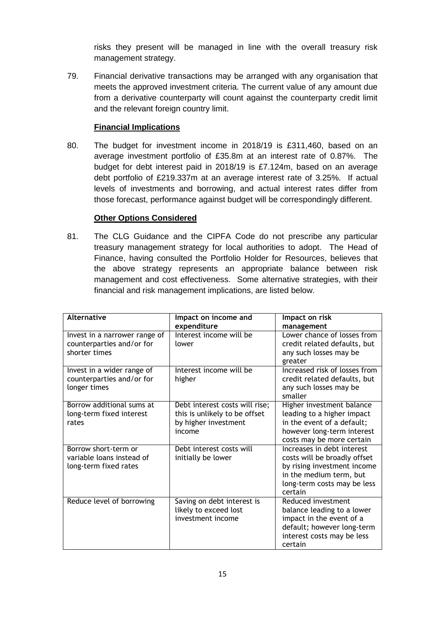risks they present will be managed in line with the overall treasury risk management strategy.

79. Financial derivative transactions may be arranged with any organisation that meets the approved investment criteria. The current value of any amount due from a derivative counterparty will count against the counterparty credit limit and the relevant foreign country limit.

# **Financial Implications**

80. The budget for investment income in 2018/19 is £311,460, based on an average investment portfolio of £35.8m at an interest rate of 0.87%. The budget for debt interest paid in 2018/19 is £7.124m, based on an average debt portfolio of £219.337m at an average interest rate of 3.25%. If actual levels of investments and borrowing, and actual interest rates differ from those forecast, performance against budget will be correspondingly different.

# **Other Options Considered**

81. The CLG Guidance and the CIPFA Code do not prescribe any particular treasury management strategy for local authorities to adopt. The Head of Finance, having consulted the Portfolio Holder for Resources, believes that the above strategy represents an appropriate balance between risk management and cost effectiveness. Some alternative strategies, with their financial and risk management implications, are listed below.

| <b>Alternative</b>                                                          | Impact on income and<br>expenditure                                                               | Impact on risk<br>management                                                                                                                                   |
|-----------------------------------------------------------------------------|---------------------------------------------------------------------------------------------------|----------------------------------------------------------------------------------------------------------------------------------------------------------------|
| Invest in a narrower range of<br>counterparties and/or for<br>shorter times | Interest income will be<br>lower                                                                  | Lower chance of losses from<br>credit related defaults, but<br>any such losses may be<br>greater                                                               |
| Invest in a wider range of<br>counterparties and/or for<br>longer times     | Interest income will be<br>higher                                                                 | Increased risk of losses from<br>credit related defaults, but<br>any such losses may be<br>smaller                                                             |
| Borrow additional sums at<br>long-term fixed interest<br>rates              | Debt interest costs will rise;<br>this is unlikely to be offset<br>by higher investment<br>income | Higher investment balance<br>leading to a higher impact<br>in the event of a default;<br>however long-term interest<br>costs may be more certain               |
| Borrow short-term or<br>variable loans instead of<br>long-term fixed rates  | Debt interest costs will<br>initially be lower                                                    | Increases in debt interest<br>costs will be broadly offset<br>by rising investment income<br>in the medium term, but<br>long-term costs may be less<br>certain |
| Reduce level of borrowing                                                   | Saving on debt interest is<br>likely to exceed lost<br>investment income                          | Reduced investment<br>balance leading to a lower<br>impact in the event of a<br>default; however long-term<br>interest costs may be less<br>certain            |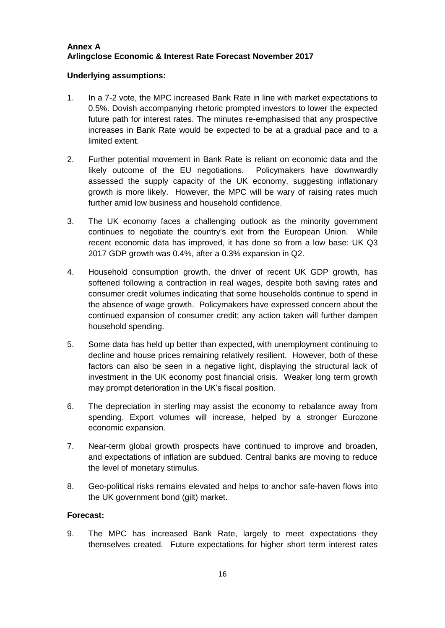# **Annex A Arlingclose Economic & Interest Rate Forecast November 2017**

# **Underlying assumptions:**

- 1. In a 7-2 vote, the MPC increased Bank Rate in line with market expectations to 0.5%. Dovish accompanying rhetoric prompted investors to lower the expected future path for interest rates. The minutes re-emphasised that any prospective increases in Bank Rate would be expected to be at a gradual pace and to a limited extent.
- 2. Further potential movement in Bank Rate is reliant on economic data and the likely outcome of the EU negotiations. Policymakers have downwardly assessed the supply capacity of the UK economy, suggesting inflationary growth is more likely. However, the MPC will be wary of raising rates much further amid low business and household confidence.
- 3. The UK economy faces a challenging outlook as the minority government continues to negotiate the country's exit from the European Union. While recent economic data has improved, it has done so from a low base: UK Q3 2017 GDP growth was 0.4%, after a 0.3% expansion in Q2.
- 4. Household consumption growth, the driver of recent UK GDP growth, has softened following a contraction in real wages, despite both saving rates and consumer credit volumes indicating that some households continue to spend in the absence of wage growth. Policymakers have expressed concern about the continued expansion of consumer credit; any action taken will further dampen household spending.
- 5. Some data has held up better than expected, with unemployment continuing to decline and house prices remaining relatively resilient. However, both of these factors can also be seen in a negative light, displaying the structural lack of investment in the UK economy post financial crisis. Weaker long term growth may prompt deterioration in the UK's fiscal position.
- 6. The depreciation in sterling may assist the economy to rebalance away from spending. Export volumes will increase, helped by a stronger Eurozone economic expansion.
- 7. Near-term global growth prospects have continued to improve and broaden, and expectations of inflation are subdued. Central banks are moving to reduce the level of monetary stimulus.
- 8. Geo-political risks remains elevated and helps to anchor safe-haven flows into the UK government bond (gilt) market.

## **Forecast:**

9. The MPC has increased Bank Rate, largely to meet expectations they themselves created. Future expectations for higher short term interest rates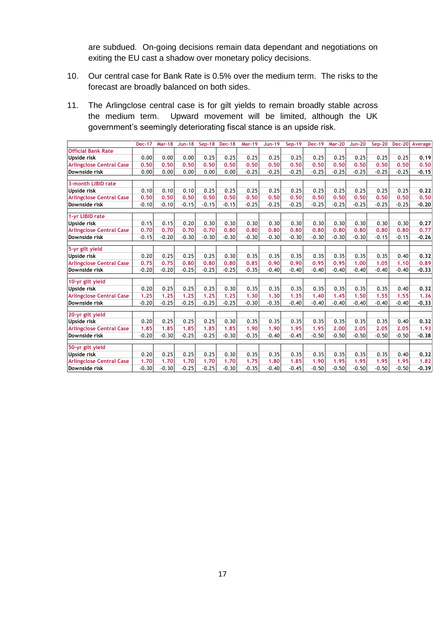are subdued. On-going decisions remain data dependant and negotiations on exiting the EU cast a shadow over monetary policy decisions.

- 10. Our central case for Bank Rate is 0.5% over the medium term. The risks to the forecast are broadly balanced on both sides.
- 11. The Arlingclose central case is for gilt yields to remain broadly stable across the medium term. Upward movement will be limited, although the UK government's seemingly deteriorating fiscal stance is an upside risk.

|                                 | <b>Dec-17</b> | <b>Mar-18</b> | $Jun-18$ |         | Sep-18 Dec-18 | <b>Mar-19</b> | <b>Jun-19</b> | Sep-19  | <b>Dec-19</b> | <b>Mar-20</b> | <b>Jun-20</b> | $Sep-20$ |         | Dec-20 Average |
|---------------------------------|---------------|---------------|----------|---------|---------------|---------------|---------------|---------|---------------|---------------|---------------|----------|---------|----------------|
| <b>Official Bank Rate</b>       |               |               |          |         |               |               |               |         |               |               |               |          |         |                |
| Upside risk                     | 0.00          | 0.00          | 0.00     | 0.25    | 0.25          | 0.25          | 0.25          | 0.25    | 0.25          | 0.25          | 0.25          | 0.25     | 0.25    | 0.19           |
| <b>Arlingclose Central Case</b> | 0.50          | 0.50          | 0.50     | 0.50    | 0.50          | 0.50          | 0.50          | 0.50    | 0.50          | 0.50          | 0.50          | 0.50     | 0.50    | 0.50           |
| Downside risk                   | 0.00          | 0.00          | 0.00     | 0.00    | 0.00          | $-0.25$       | $-0.25$       | $-0.25$ | $-0.25$       | $-0.25$       | $-0.25$       | $-0.25$  | $-0.25$ | $-0.15$        |
| 3-month LIBID rate              |               |               |          |         |               |               |               |         |               |               |               |          |         |                |
| Upside risk                     | 0.10          | 0.10          | 0.10     | 0.25    | 0.25          | 0.25          | 0.25          | 0.25    | 0.25          | 0.25          | 0.25          | 0.25     | 0.25    | 0.22           |
| <b>Arlingclose Central Case</b> | 0.50          | 0.50          | 0.50     | 0.50    | 0.50          | 0.50          | 0.50          | 0.50    | 0.50          | 0.50          | 0.50          | 0.50     | 0.50    | 0.50           |
| Downside risk                   | $-0.10$       | $-0.10$       | $-0.15$  | $-0.15$ | $-0.15$       | $-0.25$       | $-0.25$       | $-0.25$ | $-0.25$       | $-0.25$       | $-0.25$       | $-0.25$  | $-0.25$ |                |
|                                 |               |               |          |         |               |               |               |         |               |               |               |          |         | $-0.20$        |
| 1-yr LIBID rate                 |               |               |          |         |               |               |               |         |               |               |               |          |         |                |
| <b>Upside risk</b>              | 0.15          | 0.15          | 0.20     | 0.30    | 0.30          | 0.30          | 0.30          | 0.30    | 0.30          | 0.30          | 0.30          | 0.30     | 0.30    | 0.27           |
| <b>Arlingclose Central Case</b> | 0.70          | 0.70          | 0.70     | 0.70    | 0.80          | 0.80          | 0.80          | 0.80    | 0.80          | 0.80          | 0.80          | 0.80     | 0.80    | 0.77           |
| Downside risk                   | $-0.15$       | $-0.20$       | $-0.30$  | $-0.30$ | $-0.30$       | $-0.30$       | $-0.30$       | $-0.30$ | $-0.30$       | $-0.30$       | $-0.30$       | $-0.15$  | $-0.15$ | $-0.26$        |
|                                 |               |               |          |         |               |               |               |         |               |               |               |          |         |                |
| 5-yr gilt yield                 |               |               |          |         |               |               |               |         |               |               |               |          |         |                |
| Upside risk                     | 0.20          | 0.25          | 0.25     | 0.25    | 0.30          | 0.35          | 0.35          | 0.35    | 0.35          | 0.35          | 0.35          | 0.35     | 0.40    | 0.32           |
| <b>Arlingclose Central Case</b> | 0.75          | 0.75          | 0.80     | 0.80    | 0.80          | 0.85          | 0.90          | 0.90    | 0.95          | 0.95          | 1.00          | 1.05     | 1.10    | 0.89           |
| Downside risk                   | $-0.20$       | $-0.20$       | $-0.25$  | $-0.25$ | $-0.25$       | $-0.35$       | $-0.40$       | $-0.40$ | $-0.40$       | $-0.40$       | $-0.40$       | $-0.40$  | $-0.40$ | $-0.33$        |
| 10-yr gilt yield                |               |               |          |         |               |               |               |         |               |               |               |          |         |                |
| Upside risk                     | 0.20          | 0.25          | 0.25     | 0.25    | 0.30          | 0.35          | 0.35          | 0.35    | 0.35          | 0.35          | 0.35          | 0.35     | 0.40    | 0.32           |
| <b>Arlingclose Central Case</b> | 1.25          | 1.25          | 1.25     | 1.25    | 1.25          | 1.30          | 1.30          | 1.35    | 1.40          | 1.45          | 1.50          | 1.55     | 1.55    | 1.36           |
| Downside risk                   | $-0.20$       | $-0.25$       | $-0.25$  | $-0.25$ | $-0.25$       | $-0.30$       | $-0.35$       | $-0.40$ | $-0.40$       | $-0.40$       | $-0.40$       | $-0.40$  | $-0.40$ | $-0.33$        |
|                                 |               |               |          |         |               |               |               |         |               |               |               |          |         |                |
| 20-yr gilt yield                |               |               |          |         |               |               |               |         |               |               |               |          |         |                |
| Upside risk                     | 0.20          | 0.25          | 0.25     | 0.25    | 0.30          | 0.35          | 0.35          | 0.35    | 0.35          | 0.35          | 0.35          | 0.35     | 0.40    | 0.32           |
| <b>Arlingclose Central Case</b> | 1.85          | 1.85          | 1.85     | 1.85    | 1.85          | 1.90          | 1.90          | 1.95    | 1.95          | 2.00          | 2.05          | 2.05     | 2.05    | 1.93           |
| Downside risk                   | $-0.20$       | $-0.30$       | $-0.25$  | $-0.25$ | $-0.30$       | $-0.35$       | $-0.40$       | $-0.45$ | $-0.50$       | $-0.50$       | $-0.50$       | $-0.50$  | $-0.50$ | $-0.38$        |
|                                 |               |               |          |         |               |               |               |         |               |               |               |          |         |                |
| 50-yr gilt yield                |               |               |          |         |               |               |               |         |               |               |               |          |         |                |
| <b>Upside risk</b>              | 0.20          | 0.25          | 0.25     | 0.25    | 0.30          | 0.35          | 0.35          | 0.35    | 0.35          | 0.35          | 0.35          | 0.35     | 0.40    | 0.32           |
| <b>Arlingclose Central Case</b> | 1.70          | 1.70          | 1.70     | 1.70    | 1.70          | 1.75          | 1.80          | 1.85    | 1.90          | 1.95          | 1.95          | 1.95     | 1.95    | 1.82           |
| Downside risk                   | $-0.30$       | $-0.30$       | $-0.25$  | $-0.25$ | $-0.30$       | $-0.35$       | $-0.40$       | $-0.45$ | $-0.50$       | $-0.50$       | $-0.50$       | $-0.50$  | $-0.50$ | $-0.39$        |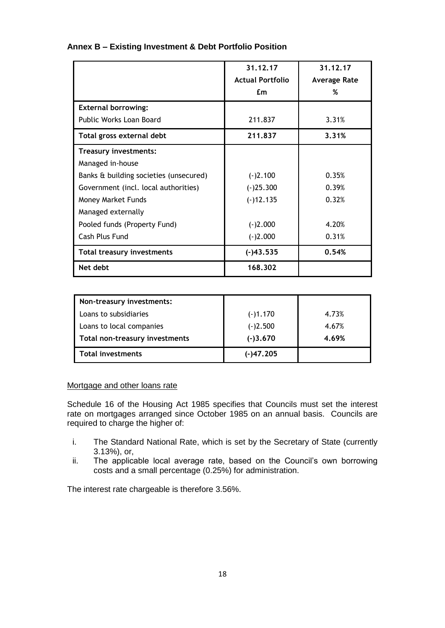|                                        | 31.12.17                | 31.12.17     |
|----------------------------------------|-------------------------|--------------|
|                                        | <b>Actual Portfolio</b> | Average Rate |
|                                        | £m                      | %            |
| <b>External borrowing:</b>             |                         |              |
| Public Works Loan Board                | 211.837                 | 3.31%        |
| Total gross external debt              | 211,837                 | 3.31%        |
| Treasury investments:                  |                         |              |
| Managed in-house                       |                         |              |
| Banks & building societies (unsecured) | $(-)2.100$              | 0.35%        |
| Government (incl. local authorities)   | $(-)25.300$             | 0.39%        |
| Money Market Funds                     | $(-)12.135$             | 0.32%        |
| Managed externally                     |                         |              |
| Pooled funds (Property Fund)           | $(-)2.000$              | 4.20%        |
| Cash Plus Fund                         | $(-)2.000$              | 0.31%        |
| <b>Total treasury investments</b>      | $(-)43.535$             | 0.54%        |
| Net debt                               | 168.302                 |              |

## **Annex B – Existing Investment & Debt Portfolio Position**

| Non-treasury investments:      |             |       |
|--------------------------------|-------------|-------|
| Loans to subsidiaries          | $(-)1.170$  | 4.73% |
| Loans to local companies       | $(-)2.500$  | 4.67% |
| Total non-treasury investments | $(-)3.670$  | 4.69% |
| <b>Total investments</b>       | $(-)47.205$ |       |

## Mortgage and other loans rate

Schedule 16 of the Housing Act 1985 specifies that Councils must set the interest rate on mortgages arranged since October 1985 on an annual basis. Councils are required to charge the higher of:

- i. The Standard National Rate, which is set by the Secretary of State (currently 3.13%), or,
- ii. The applicable local average rate, based on the Council's own borrowing costs and a small percentage (0.25%) for administration.

The interest rate chargeable is therefore 3.56%.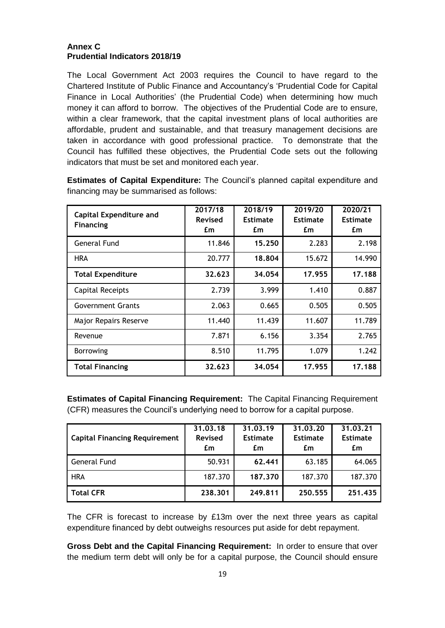# **Annex C Prudential Indicators 2018/19**

The Local Government Act 2003 requires the Council to have regard to the Chartered Institute of Public Finance and Accountancy's 'Prudential Code for Capital Finance in Local Authorities' (the Prudential Code) when determining how much money it can afford to borrow. The objectives of the Prudential Code are to ensure, within a clear framework, that the capital investment plans of local authorities are affordable, prudent and sustainable, and that treasury management decisions are taken in accordance with good professional practice. To demonstrate that the Council has fulfilled these objectives, the Prudential Code sets out the following indicators that must be set and monitored each year.

| <b>Capital Expenditure and</b><br><b>Financing</b> | 2017/18<br>Revised<br>£m | 2018/19<br><b>Estimate</b><br>£m | 2019/20<br><b>Estimate</b><br>£m | 2020/21<br><b>Estimate</b><br>£m |
|----------------------------------------------------|--------------------------|----------------------------------|----------------------------------|----------------------------------|
| General Fund                                       | 11.846                   | 15.250                           | 2.283                            | 2.198                            |
| <b>HRA</b>                                         | 20.777                   | 18.804                           | 15.672                           | 14.990                           |
| <b>Total Expenditure</b>                           | 32.623                   | 34.054                           | 17.955                           | 17.188                           |
| Capital Receipts                                   | 2.739                    | 3.999                            | 1.410                            | 0.887                            |
| <b>Government Grants</b>                           | 2.063                    | 0.665                            | 0.505                            | 0.505                            |
| Major Repairs Reserve                              | 11.440                   | 11.439                           | 11.607                           | 11.789                           |
| Revenue                                            | 7.871                    | 6.156                            | 3.354                            | 2.765                            |
| <b>Borrowing</b>                                   | 8.510                    | 11.795                           | 1.079                            | 1.242                            |
| <b>Total Financing</b>                             | 32.623                   | 34.054                           | 17.955                           | 17.188                           |

**Estimates of Capital Expenditure:** The Council's planned capital expenditure and financing may be summarised as follows:

**Estimates of Capital Financing Requirement:** The Capital Financing Requirement (CFR) measures the Council's underlying need to borrow for a capital purpose.

| <b>Capital Financing Requirement</b> | 31.03.18<br><b>Revised</b><br>£m | 31.03.19<br><b>Estimate</b><br>£m | 31.03.20<br><b>Estimate</b><br>£m | 31.03.21<br><b>Estimate</b><br>£m |
|--------------------------------------|----------------------------------|-----------------------------------|-----------------------------------|-----------------------------------|
| General Fund                         | 50.931                           | 62.441                            | 63.185                            | 64.065                            |
| <b>HRA</b>                           | 187.370                          | 187,370                           | 187.370                           | 187.370                           |
| <b>Total CFR</b>                     | 238,301                          | 249.811                           | 250.555                           | 251.435                           |

The CFR is forecast to increase by £13m over the next three years as capital expenditure financed by debt outweighs resources put aside for debt repayment.

**Gross Debt and the Capital Financing Requirement:** In order to ensure that over the medium term debt will only be for a capital purpose, the Council should ensure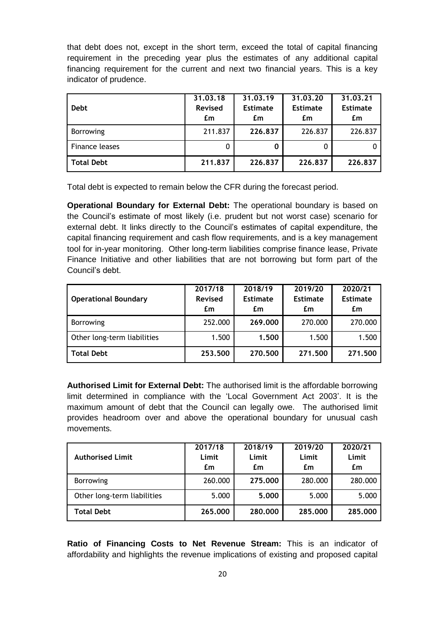that debt does not, except in the short term, exceed the total of capital financing requirement in the preceding year plus the estimates of any additional capital financing requirement for the current and next two financial years. This is a key indicator of prudence.

| <b>Debt</b>      | 31.03.18<br><b>Revised</b><br>£m | 31.03.19<br><b>Estimate</b><br>£m | 31,03,20<br><b>Estimate</b><br>£m | 31,03,21<br><b>Estimate</b><br>£m |
|------------------|----------------------------------|-----------------------------------|-----------------------------------|-----------------------------------|
| <b>Borrowing</b> | 211.837                          | 226,837                           | 226.837                           | 226.837                           |
| Finance leases   |                                  | 0                                 |                                   |                                   |
| Total Debt       | 211,837                          | 226.837                           | 226,837                           | 226.837                           |

Total debt is expected to remain below the CFR during the forecast period.

**Operational Boundary for External Debt:** The operational boundary is based on the Council's estimate of most likely (i.e. prudent but not worst case) scenario for external debt. It links directly to the Council's estimates of capital expenditure, the capital financing requirement and cash flow requirements, and is a key management tool for in-year monitoring. Other long-term liabilities comprise finance lease, Private Finance Initiative and other liabilities that are not borrowing but form part of the Council's debt.

| <b>Operational Boundary</b> | 2017/18<br><b>Revised</b><br>£m | 2018/19<br><b>Estimate</b><br>£m | 2019/20<br><b>Estimate</b><br>£m | 2020/21<br><b>Estimate</b><br>£m |
|-----------------------------|---------------------------------|----------------------------------|----------------------------------|----------------------------------|
| <b>Borrowing</b>            | 252.000                         | 269,000                          | 270.000                          | 270.000                          |
| Other long-term liabilities | 1.500                           | 1.500                            | 1.500                            | 1.500                            |
| <b>Total Debt</b>           | 253,500                         | 270,500                          | 271.500                          | 271.500                          |

**Authorised Limit for External Debt:** The authorised limit is the affordable borrowing limit determined in compliance with the 'Local Government Act 2003'. It is the maximum amount of debt that the Council can legally owe. The authorised limit provides headroom over and above the operational boundary for unusual cash movements.

| <b>Authorised Limit</b>     | 2017/18<br>Limit<br>£m | 2018/19<br>Limit<br>£m | 2019/20<br>Limit<br>£m | 2020/21<br>Limit<br>£m |
|-----------------------------|------------------------|------------------------|------------------------|------------------------|
| <b>Borrowing</b>            | 260.000                | 275,000                | 280.000                | 280.000                |
| Other long-term liabilities | 5.000                  | 5,000                  | 5.000                  | 5.000                  |
| <b>Total Debt</b>           | 265,000                | 280,000                | 285,000                | 285,000                |

**Ratio of Financing Costs to Net Revenue Stream:** This is an indicator of affordability and highlights the revenue implications of existing and proposed capital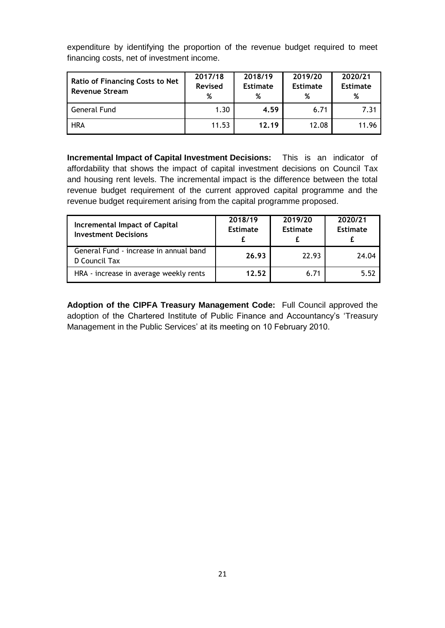| <b>Ratio of Financing Costs to Net</b><br><b>Revenue Stream</b> | 2017/18<br><b>Revised</b><br>% | 2018/19<br><b>Estimate</b><br>% | 2019/20<br><b>Estimate</b><br>% | 2020/21<br><b>Estimate</b><br>% |
|-----------------------------------------------------------------|--------------------------------|---------------------------------|---------------------------------|---------------------------------|
| <b>General Fund</b>                                             | 1.30                           | 4.59                            | 6.71                            | 7.31                            |
| <b>HRA</b>                                                      | 11.53                          | 12.19                           | 12.08                           | 11.96                           |

expenditure by identifying the proportion of the revenue budget required to meet financing costs, net of investment income.

**Incremental Impact of Capital Investment Decisions:** This is an indicator of affordability that shows the impact of capital investment decisions on Council Tax and housing rent levels. The incremental impact is the difference between the total revenue budget requirement of the current approved capital programme and the revenue budget requirement arising from the capital programme proposed.

| Incremental Impact of Capital<br><b>Investment Decisions</b> | 2018/19<br><b>Estimate</b> | 2019/20<br><b>Estimate</b> | 2020/21<br>Estimate |
|--------------------------------------------------------------|----------------------------|----------------------------|---------------------|
| General Fund - increase in annual band<br>D Council Tax      | 26.93                      | 22.93                      | 24.04               |
| HRA - increase in average weekly rents                       | 12.52                      | 6.71                       | 5.52                |

**Adoption of the CIPFA Treasury Management Code:** Full Council approved the adoption of the Chartered Institute of Public Finance and Accountancy's 'Treasury Management in the Public Services' at its meeting on 10 February 2010.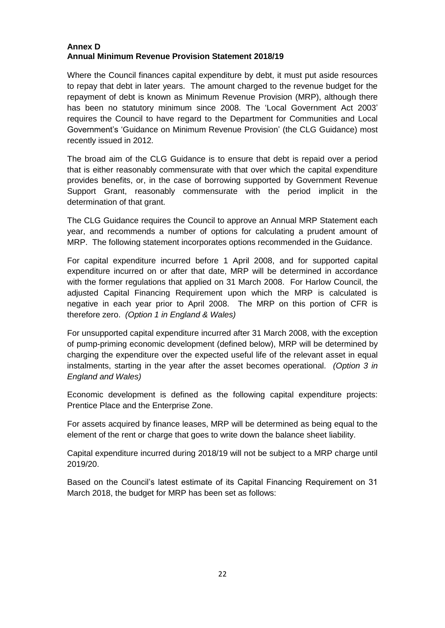# **Annex D Annual Minimum Revenue Provision Statement 2018/19**

Where the Council finances capital expenditure by debt, it must put aside resources to repay that debt in later years. The amount charged to the revenue budget for the repayment of debt is known as Minimum Revenue Provision (MRP), although there has been no statutory minimum since 2008. The 'Local Government Act 2003' requires the Council to have regard to the Department for Communities and Local Government's 'Guidance on Minimum Revenue Provision' (the CLG Guidance) most recently issued in 2012.

The broad aim of the CLG Guidance is to ensure that debt is repaid over a period that is either reasonably commensurate with that over which the capital expenditure provides benefits, or, in the case of borrowing supported by Government Revenue Support Grant, reasonably commensurate with the period implicit in the determination of that grant.

The CLG Guidance requires the Council to approve an Annual MRP Statement each year, and recommends a number of options for calculating a prudent amount of MRP. The following statement incorporates options recommended in the Guidance.

For capital expenditure incurred before 1 April 2008, and for supported capital expenditure incurred on or after that date, MRP will be determined in accordance with the former regulations that applied on 31 March 2008. For Harlow Council, the adjusted Capital Financing Requirement upon which the MRP is calculated is negative in each year prior to April 2008. The MRP on this portion of CFR is therefore zero. *(Option 1 in England & Wales)*

For unsupported capital expenditure incurred after 31 March 2008, with the exception of pump-priming economic development (defined below), MRP will be determined by charging the expenditure over the expected useful life of the relevant asset in equal instalments, starting in the year after the asset becomes operational. *(Option 3 in England and Wales)*

Economic development is defined as the following capital expenditure projects: Prentice Place and the Enterprise Zone.

For assets acquired by finance leases, MRP will be determined as being equal to the element of the rent or charge that goes to write down the balance sheet liability.

Capital expenditure incurred during 2018/19 will not be subject to a MRP charge until 2019/20.

Based on the Council's latest estimate of its Capital Financing Requirement on 31 March 2018, the budget for MRP has been set as follows: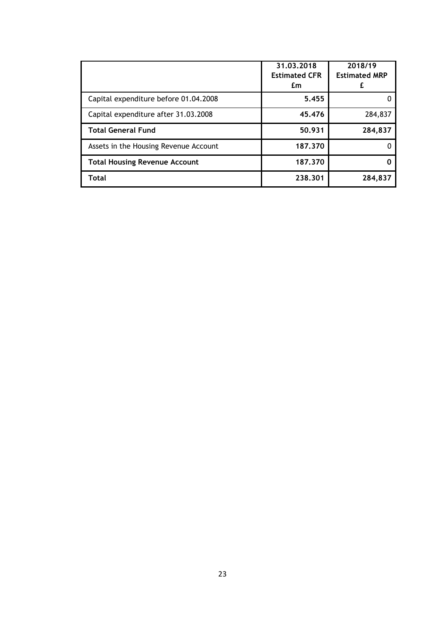|                                       | 31.03.2018<br><b>Estimated CFR</b><br>£m | 2018/19<br><b>Estimated MRP</b> |
|---------------------------------------|------------------------------------------|---------------------------------|
| Capital expenditure before 01.04.2008 | 5.455                                    |                                 |
| Capital expenditure after 31.03.2008  | 45.476                                   | 284,837                         |
| <b>Total General Fund</b>             | 50.931                                   | 284,837                         |
| Assets in the Housing Revenue Account | 187.370                                  |                                 |
| <b>Total Housing Revenue Account</b>  | 187.370                                  |                                 |
| Total                                 | 238.301                                  | 284,837                         |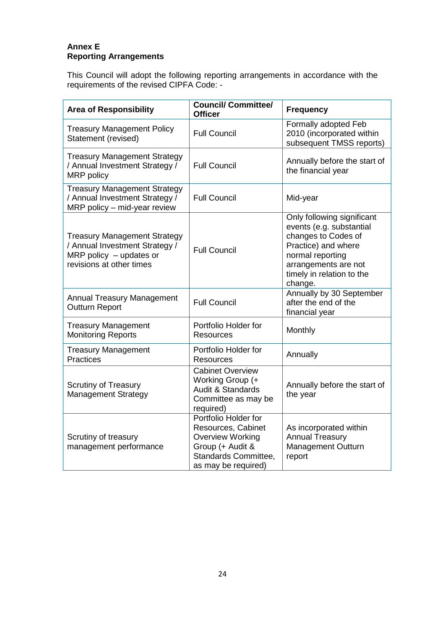# **Annex E Reporting Arrangements**

This Council will adopt the following reporting arrangements in accordance with the requirements of the revised CIPFA Code: -

| <b>Area of Responsibility</b>                                                                                                  | <b>Council/ Committee/</b><br><b>Officer</b>                                                                                             | <b>Frequency</b>                                                                                                                                                                         |
|--------------------------------------------------------------------------------------------------------------------------------|------------------------------------------------------------------------------------------------------------------------------------------|------------------------------------------------------------------------------------------------------------------------------------------------------------------------------------------|
| <b>Treasury Management Policy</b><br>Statement (revised)                                                                       | <b>Full Council</b>                                                                                                                      | Formally adopted Feb<br>2010 (incorporated within<br>subsequent TMSS reports)                                                                                                            |
| <b>Treasury Management Strategy</b><br>/ Annual Investment Strategy /<br>MRP policy                                            | <b>Full Council</b>                                                                                                                      | Annually before the start of<br>the financial year                                                                                                                                       |
| <b>Treasury Management Strategy</b><br>/ Annual Investment Strategy /<br>$MRP$ policy – mid-year review                        | <b>Full Council</b>                                                                                                                      | Mid-year                                                                                                                                                                                 |
| <b>Treasury Management Strategy</b><br>/ Annual Investment Strategy /<br>MRP policy $-$ updates or<br>revisions at other times | <b>Full Council</b>                                                                                                                      | Only following significant<br>events (e.g. substantial<br>changes to Codes of<br>Practice) and where<br>normal reporting<br>arrangements are not<br>timely in relation to the<br>change. |
| <b>Annual Treasury Management</b><br><b>Outturn Report</b>                                                                     | <b>Full Council</b>                                                                                                                      | Annually by 30 September<br>after the end of the<br>financial year                                                                                                                       |
| <b>Treasury Management</b><br><b>Monitoring Reports</b>                                                                        | Portfolio Holder for<br><b>Resources</b>                                                                                                 | Monthly                                                                                                                                                                                  |
| <b>Treasury Management</b><br>Practices                                                                                        | Portfolio Holder for<br><b>Resources</b>                                                                                                 | Annually                                                                                                                                                                                 |
| <b>Scrutiny of Treasury</b><br>Management Strategy                                                                             | <b>Cabinet Overview</b><br>Working Group (+<br><b>Audit &amp; Standards</b><br>Committee as may be<br>required)                          | Annually before the start of<br>the year                                                                                                                                                 |
| Scrutiny of treasury<br>management performance                                                                                 | Portfolio Holder for<br>Resources, Cabinet<br><b>Overview Working</b><br>Group (+ Audit &<br>Standards Committee,<br>as may be required) | As incorporated within<br><b>Annual Treasury</b><br>Management Outturn<br>report                                                                                                         |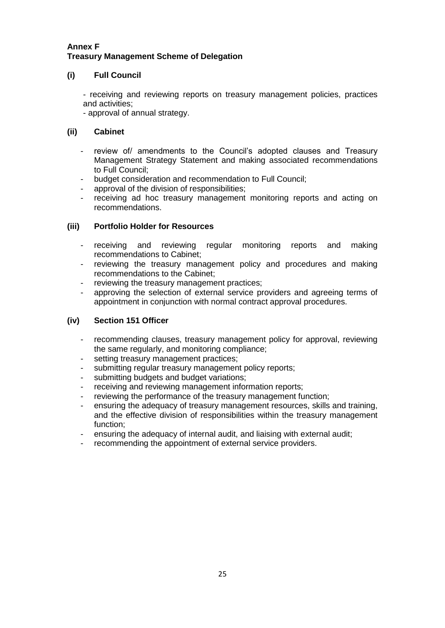# **Annex F Treasury Management Scheme of Delegation**

# **(i) Full Council**

- receiving and reviewing reports on treasury management policies, practices and activities;

- approval of annual strategy.

# **(ii) Cabinet**

- review of/ amendments to the Council's adopted clauses and Treasury Management Strategy Statement and making associated recommendations to Full Council;
- budget consideration and recommendation to Full Council;
- approval of the division of responsibilities;
- receiving ad hoc treasury management monitoring reports and acting on recommendations.

# **(iii) Portfolio Holder for Resources**

- receiving and reviewing regular monitoring reports and making recommendations to Cabinet;
- reviewing the treasury management policy and procedures and making recommendations to the Cabinet;
- reviewing the treasury management practices;
- approving the selection of external service providers and agreeing terms of appointment in conjunction with normal contract approval procedures.

# **(iv) Section 151 Officer**

- recommending clauses, treasury management policy for approval, reviewing the same regularly, and monitoring compliance;
- setting treasury management practices;
- submitting regular treasury management policy reports;
- submitting budgets and budget variations;
- receiving and reviewing management information reports;
- reviewing the performance of the treasury management function;
- ensuring the adequacy of treasury management resources, skills and training, and the effective division of responsibilities within the treasury management function;
- ensuring the adequacy of internal audit, and liaising with external audit;
- recommending the appointment of external service providers.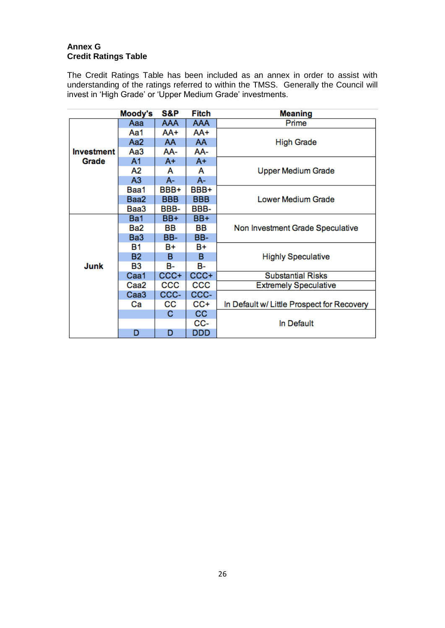# **Annex G Credit Ratings Table**

The Credit Ratings Table has been included as an annex in order to assist with understanding of the ratings referred to within the TMSS. Generally the Council will invest in 'High Grade' or 'Upper Medium Grade' investments.

|                   | Moody's          | S&P        | Fitch      | <b>Meaning</b>                             |
|-------------------|------------------|------------|------------|--------------------------------------------|
|                   | Aaa              | <b>AAA</b> | <b>AAA</b> | Prime                                      |
|                   | Aa1              | AA+        | AA+        |                                            |
|                   | Aa <sub>2</sub>  | AA         | AA         | <b>High Grade</b>                          |
| <b>Investment</b> | АаЗ              | AA-        | AA-        |                                            |
| Grade             | A <sub>1</sub>   | A+         | $A+$       |                                            |
|                   | А2               | A          | A          | <b>Upper Medium Grade</b>                  |
|                   | A <sub>3</sub>   | A-         | A-         |                                            |
|                   | Baa1             | BBB+       | BBB+       |                                            |
|                   | Baa2             | <b>BBB</b> | <b>BBB</b> | Lower Medium Grade                         |
|                   | Baa3             | BBB-       | BBB-       |                                            |
|                   | Ba1              | BB+        | BB+        |                                            |
|                   | Ba2              | BВ         | BВ         | Non Investment Grade Speculative           |
|                   | Ba <sub>3</sub>  | BB-        | BB-        |                                            |
|                   | В1               | B+         | B+         |                                            |
|                   | <b>B2</b>        | в          | в          | <b>Highly Speculative</b>                  |
| Junk              | B3               | в-         | в-         |                                            |
|                   | Caa1             | CCC+       | CCC+       | <b>Substantial Risks</b>                   |
|                   | Caa2             | CCC        | CCC        | <b>Extremely Speculative</b>               |
|                   | Caa <sub>3</sub> | CCC-       | CCC-       |                                            |
|                   | Сa               | CС         | CC+        | In Default w/ Little Prospect for Recovery |
|                   |                  | С          | cc         |                                            |
|                   |                  |            | CC-        | In Default                                 |
|                   | D                | D          | DDD        |                                            |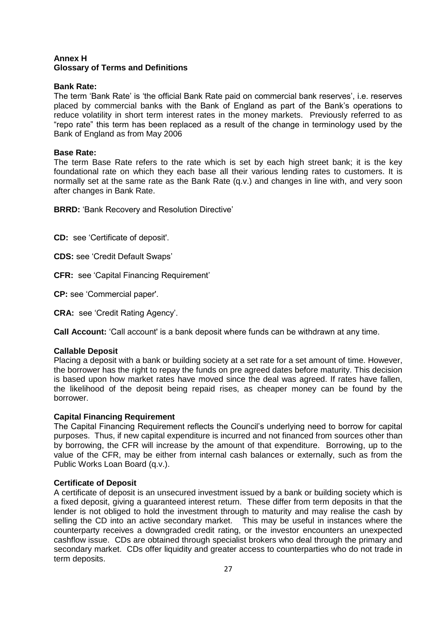## **Annex H Glossary of Terms and Definitions**

## **Bank Rate:**

The term 'Bank Rate' is 'the official Bank Rate paid on commercial bank reserves', i.e. reserves placed by commercial banks with the Bank of England as part of the Bank's operations to reduce volatility in short term interest rates in the money markets. Previously referred to as "repo rate" this term has been replaced as a result of the change in terminology used by the Bank of England as from May 2006

## **Base Rate:**

The term Base Rate refers to the rate which is set by each high street bank; it is the key foundational rate on which they each base all their various lending rates to customers. It is normally set at the same rate as the Bank Rate (q.v.) and changes in line with, and very soon after changes in Bank Rate.

**BRRD:** 'Bank Recovery and Resolution Directive'

**CD:** see 'Certificate of deposit'.

**CDS:** see 'Credit Default Swaps'

**CFR:** see 'Capital Financing Requirement'

**CP:** see 'Commercial paper'.

**CRA:** see 'Credit Rating Agency'.

**Call Account:** 'Call account' is a bank deposit where funds can be withdrawn at any time.

## **Callable Deposit**

Placing a deposit with a bank or building society at a set rate for a set amount of time. However, the borrower has the right to repay the funds on pre agreed dates before maturity. This decision is based upon how market rates have moved since the deal was agreed. If rates have fallen, the likelihood of the deposit being repaid rises, as cheaper money can be found by the borrower.

## **Capital Financing Requirement**

The Capital Financing Requirement reflects the Council's underlying need to borrow for capital purposes. Thus, if new capital expenditure is incurred and not financed from sources other than by borrowing, the CFR will increase by the amount of that expenditure. Borrowing, up to the value of the CFR, may be either from internal cash balances or externally, such as from the Public Works Loan Board (q.v.).

## **Certificate of Deposit**

A certificate of deposit is an unsecured investment issued by a bank or building society which is a fixed deposit, giving a guaranteed interest return. These differ from term deposits in that the lender is not obliged to hold the investment through to maturity and may realise the cash by selling the CD into an active secondary market. This may be useful in instances where the counterparty receives a downgraded credit rating, or the investor encounters an unexpected cashflow issue. CDs are obtained through specialist brokers who deal through the primary and secondary market. CDs offer liquidity and greater access to counterparties who do not trade in term deposits.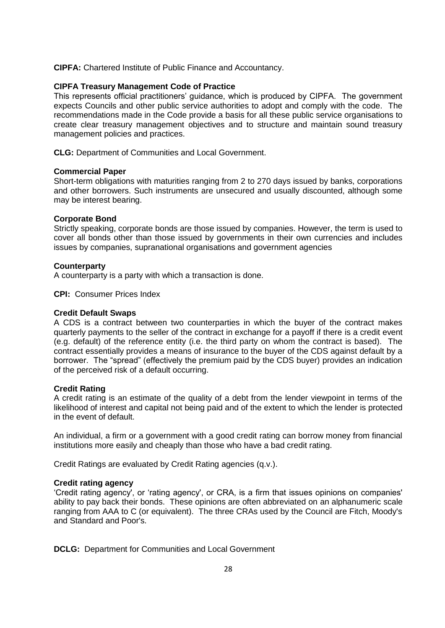**CIPFA:** Chartered Institute of Public Finance and Accountancy.

## **CIPFA Treasury Management Code of Practice**

This represents official practitioners' guidance, which is produced by CIPFA. The government expects Councils and other public service authorities to adopt and comply with the code. The recommendations made in the Code provide a basis for all these public service organisations to create clear treasury management objectives and to structure and maintain sound treasury management policies and practices.

**CLG:** Department of Communities and Local Government.

## **Commercial Paper**

Short-term obligations with maturities ranging from 2 to 270 days issued by banks, corporations and other borrowers. Such instruments are unsecured and usually discounted, although some may be interest bearing.

## **Corporate Bond**

Strictly speaking, corporate bonds are those issued by companies. However, the term is used to cover all bonds other than those issued by governments in their own currencies and includes issues by companies, supranational organisations and government agencies

## **Counterparty**

A counterparty is a party with which a transaction is done.

**CPI:** Consumer Prices Index

## **Credit Default Swaps**

A CDS is a contract between two counterparties in which the buyer of the contract makes quarterly payments to the seller of the contract in exchange for a payoff if there is a credit event (e.g. default) of the reference entity (i.e. the third party on whom the contract is based). The contract essentially provides a means of insurance to the buyer of the CDS against default by a borrower. The "spread" (effectively the premium paid by the CDS buyer) provides an indication of the perceived risk of a default occurring.

# **Credit Rating**

A credit rating is an estimate of the quality of a debt from the lender viewpoint in terms of the likelihood of interest and capital not being paid and of the extent to which the lender is protected in the event of default.

An individual, a firm or a government with a good credit rating can borrow money from financial institutions more easily and cheaply than those who have a bad credit rating.

Credit Ratings are evaluated by Credit Rating agencies (q.v.).

## **Credit rating agency**

'Credit rating agency', or 'rating agency', or CRA, is a firm that issues opinions on companies' ability to pay back their bonds. These opinions are often abbreviated on an alphanumeric scale ranging from AAA to C (or equivalent). The three CRAs used by the Council are Fitch, Moody's and Standard and Poor's.

**DCLG:** Department for Communities and Local Government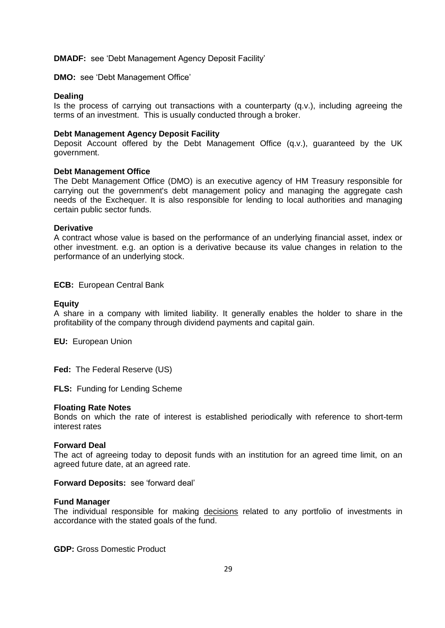#### **DMADF:** see 'Debt Management Agency Deposit Facility'

**DMO:** see 'Debt Management Office'

#### **Dealing**

Is the process of carrying out transactions with a counterparty (q.v.), including agreeing the terms of an investment. This is usually conducted through a broker.

#### **Debt Management Agency Deposit Facility**

Deposit Account offered by the Debt Management Office (q.v.), guaranteed by the UK government.

#### **Debt Management Office**

The Debt Management Office (DMO) is an executive agency of HM Treasury responsible for carrying out the government's debt management policy and managing the aggregate cash needs of the Exchequer. It is also responsible for lending to local authorities and managing certain public sector funds.

#### **Derivative**

A contract whose value is based on the performance of an underlying financial asset, index or other investment. e.g. an option is a derivative because its value changes in relation to the performance of an underlying stock.

**ECB:** European Central Bank

#### **Equity**

A share in a company with limited liability. It generally enables the holder to share in the profitability of the company through dividend payments and capital gain.

**EU:** European Union

**Fed:** The Federal Reserve (US)

**FLS:** Funding for Lending Scheme

#### **Floating Rate Notes**

Bonds on which the rate of interest is established periodically with reference to short-term interest rates

#### **Forward Deal**

The act of agreeing today to deposit funds with an institution for an agreed time limit, on an agreed future date, at an agreed rate.

**Forward Deposits:** see 'forward deal'

#### **Fund Manager**

The individual responsible for making decisions related to any portfolio of investments in accordance with the stated goals of the fund.

**GDP:** Gross Domestic Product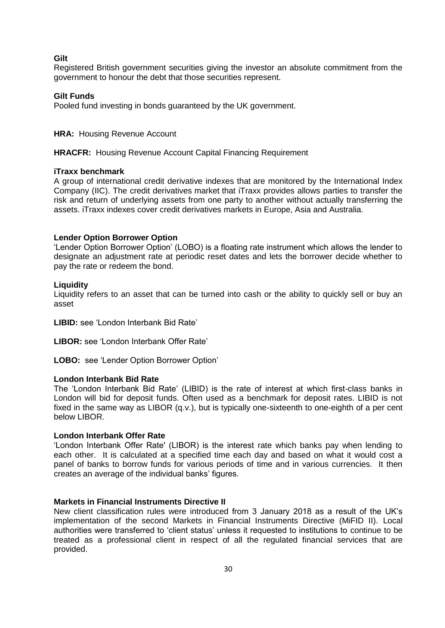## **Gilt**

Registered British government securities giving the investor an absolute commitment from the government to honour the debt that those securities represent.

#### **Gilt Funds**

Pooled fund investing in bonds guaranteed by the UK government.

#### **HRA: Housing Revenue Account**

**HRACFR:** Housing Revenue Account Capital Financing Requirement

#### **iTraxx benchmark**

A group of international credit derivative indexes that are monitored by the International Index Company (IIC). The credit derivatives market that iTraxx provides allows parties to transfer the risk and return of underlying assets from one party to another without actually transferring the assets. iTraxx indexes cover credit derivatives markets in Europe, Asia and Australia.

#### **Lender Option Borrower Option**

'Lender Option Borrower Option' (LOBO) is a floating rate instrument which allows the lender to designate an adjustment rate at periodic reset dates and lets the borrower decide whether to pay the rate or redeem the bond.

## **Liquidity**

Liquidity refers to an asset that can be turned into cash or the ability to quickly sell or buy an asset

**LIBID:** see 'London Interbank Bid Rate'

**LIBOR:** see 'London Interbank Offer Rate'

**LOBO:** see 'Lender Option Borrower Option'

### **London Interbank Bid Rate**

The 'London Interbank Bid Rate' (LIBID) is the rate of interest at which first-class banks in London will bid for deposit funds. Often used as a benchmark for deposit rates. LIBID is not fixed in the same way as LIBOR (q.v.), but is typically one-sixteenth to one-eighth of a per cent below LIBOR.

#### **London Interbank Offer Rate**

'London Interbank Offer Rate' (LIBOR) is the interest rate which banks pay when lending to each other. It is calculated at a specified time each day and based on what it would cost a panel of banks to borrow funds for various periods of time and in various currencies. It then creates an average of the individual banks' figures.

#### **Markets in Financial Instruments Directive II**

New client classification rules were introduced from 3 January 2018 as a result of the UK's implementation of the second Markets in Financial Instruments Directive (MiFID II). Local authorities were transferred to 'client status' unless it requested to institutions to continue to be treated as a professional client in respect of all the regulated financial services that are provided.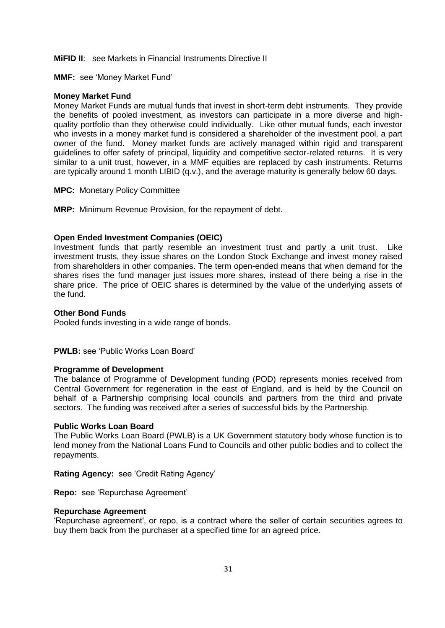**MIFID II:** see Markets in Financial Instruments Directive II

**MMF:** see 'Money Market Fund'

#### **Money Market Fund**

Money Market Funds are mutual funds that invest in short-term debt instruments. They provide the benefits of pooled investment, as investors can participate in a more diverse and highquality portfolio than they otherwise could individually. Like other mutual funds, each investor who invests in a money market fund is considered a shareholder of the investment pool, a part owner of the fund. Money market funds are actively managed within rigid and transparent guidelines to offer safety of principal, liquidity and competitive sector-related returns. It is very similar to a unit trust, however, in a MMF equities are replaced by cash instruments. Returns are typically around 1 month LIBID (q.v.), and the average maturity is generally below 60 days.

**MPC:** Monetary Policy Committee

**MRP:** Minimum Revenue Provision, for the repayment of debt.

#### **Open Ended Investment Companies (OEIC)**

Investment funds that partly resemble an investment trust and partly a unit trust. Like investment trusts, they issue shares on the London Stock Exchange and invest money raised from shareholders in other companies. The term open-ended means that when demand for the shares rises the fund manager just issues more shares, instead of there being a rise in the share price. The price of OEIC shares is determined by the value of the underlying assets of the fund.

#### **Other Bond Funds**

Pooled funds investing in a wide range of bonds.

**PWLB:** see 'Public Works Loan Board'

#### **Programme of Development**

The balance of Programme of Development funding (POD) represents monies received from Central Government for regeneration in the east of England, and is held by the Council on behalf of a Partnership comprising local councils and partners from the third and private sectors. The funding was received after a series of successful bids by the Partnership.

#### **Public Works Loan Board**

The Public Works Loan Board (PWLB) is a UK Government statutory body whose function is to lend money from the National Loans Fund to Councils and other public bodies and to collect the repayments.

**Rating Agency:** see 'Credit Rating Agency'

**Repo:** see 'Repurchase Agreement'

#### **Repurchase Agreement**

'Repurchase agreement', or repo, is a contract where the seller of certain securities agrees to buy them back from the purchaser at a specified time for an agreed price.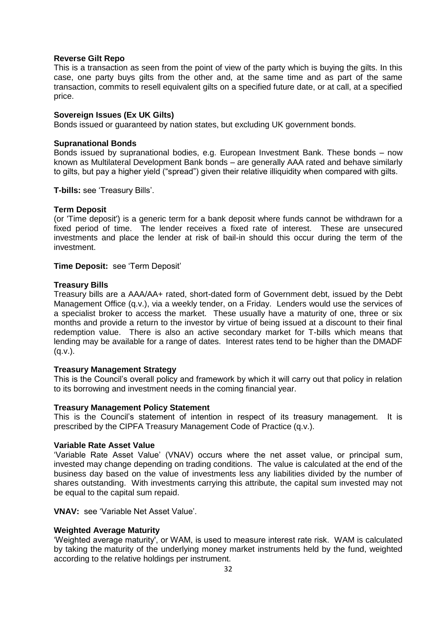## **Reverse Gilt Repo**

This is a transaction as seen from the point of view of the party which is buying the gilts. In this case, one party buys gilts from the other and, at the same time and as part of the same transaction, commits to resell equivalent gilts on a specified future date, or at call, at a specified price.

## **Sovereign Issues (Ex UK Gilts)**

Bonds issued or guaranteed by nation states, but excluding UK government bonds.

## **Supranational Bonds**

Bonds issued by supranational bodies, e.g. European Investment Bank. These bonds – now known as Multilateral Development Bank bonds – are generally AAA rated and behave similarly to gilts, but pay a higher yield ("spread") given their relative illiquidity when compared with gilts.

**T-bills:** see 'Treasury Bills'.

#### **Term Deposit**

(or 'Time deposit') is a generic term for a bank deposit where funds cannot be withdrawn for a fixed period of time. The lender receives a fixed rate of interest. These are unsecured investments and place the lender at risk of bail-in should this occur during the term of the investment.

#### **Time Deposit:** see 'Term Deposit'

#### **Treasury Bills**

Treasury bills are a AAA/AA+ rated, short-dated form of Government debt, issued by the Debt Management Office (q.v.), via a weekly tender, on a Friday. Lenders would use the services of a specialist broker to access the market. These usually have a maturity of one, three or six months and provide a return to the investor by virtue of being issued at a discount to their final redemption value. There is also an active secondary market for T-bills which means that lending may be available for a range of dates. Interest rates tend to be higher than the DMADF  $(q.v.).$ 

## **Treasury Management Strategy**

This is the Council's overall policy and framework by which it will carry out that policy in relation to its borrowing and investment needs in the coming financial year.

## **Treasury Management Policy Statement**

This is the Council's statement of intention in respect of its treasury management. It is prescribed by the CIPFA Treasury Management Code of Practice (q.v.).

#### **Variable Rate Asset Value**

'Variable Rate Asset Value' (VNAV) occurs where the net asset value, or principal sum, invested may change depending on trading conditions. The value is calculated at the end of the business day based on the value of investments less any liabilities divided by the number of shares outstanding. With investments carrying this attribute, the capital sum invested may not be equal to the capital sum repaid.

**VNAV:** see 'Variable Net Asset Value'.

## **Weighted Average Maturity**

'Weighted average maturity', or WAM, is used to measure interest rate risk. WAM is calculated by taking the maturity of the underlying money market instruments held by the fund, weighted according to the relative holdings per instrument.